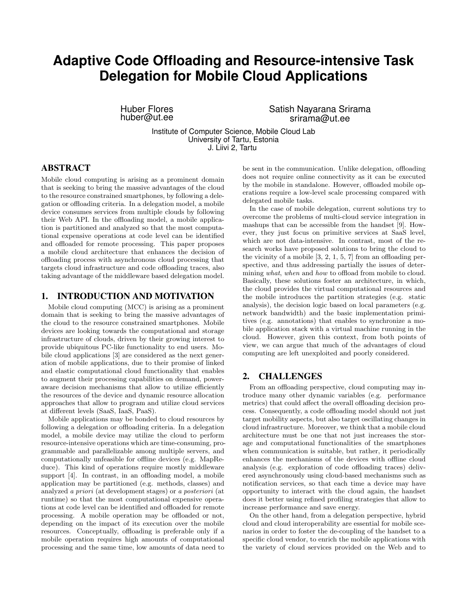# **Adaptive Code Offloading and Resource-intensive Task Delegation for Mobile Cloud Applications**

Huber Flores huber@ut.ee Satish Nayarana Srirama srirama@ut.ee

Institute of Computer Science, Mobile Cloud Lab University of Tartu, Estonia J. Liivi 2, Tartu

## ABSTRACT

Mobile cloud computing is arising as a prominent domain that is seeking to bring the massive advantages of the cloud to the resource constrained smartphones, by following a delegation or offloading criteria. In a delegation model, a mobile device consumes services from multiple clouds by following their Web API. In the offloading model, a mobile application is partitioned and analyzed so that the most computational expensive operations at code level can be identified and offloaded for remote processing. This paper proposes a mobile cloud architecture that enhances the decision of offloading process with asynchronous cloud processing that targets cloud infrastructure and code offloading traces, also taking advantage of the middleware based delegation model.

## 1. INTRODUCTION AND MOTIVATION

Mobile cloud computing (MCC) is arising as a prominent domain that is seeking to bring the massive advantages of the cloud to the resource constrained smartphones. Mobile devices are looking towards the computational and storage infrastructure of clouds, driven by their growing interest to provide ubiquitous PC-like functionality to end users. Mobile cloud applications [3] are considered as the next generation of mobile applications, due to their promise of linked and elastic computational cloud functionality that enables to augment their processing capabilities on demand, poweraware decision mechanisms that allow to utilize efficiently the resources of the device and dynamic resource allocation approaches that allow to program and utilize cloud services at different levels (SaaS, IaaS, PaaS).

Mobile applications may be bonded to cloud resources by following a delegation or offloading criteria. In a delegation model, a mobile device may utilize the cloud to perform resource-intensive operations which are time-consuming, programmable and parallelizable among multiple servers, and computationally unfeasible for offline devices (e.g. MapReduce). This kind of operations require mostly middleware support [4]. In contrast, in an offloading model, a mobile application may be partitioned (e.g. methods, classes) and analyzed a priori (at development stages) or a posteriori (at runtime) so that the most computational expensive operations at code level can be identified and offloaded for remote processing. A mobile operation may be offloaded or not, depending on the impact of its execution over the mobile resources. Conceptually, offloading is preferable only if a mobile operation requires high amounts of computational processing and the same time, low amounts of data need to

be sent in the communication. Unlike delegation, offloading does not require online connectivity as it can be executed by the mobile in standalone. However, offloaded mobile operations require a low-level scale processing compared with delegated mobile tasks.

In the case of mobile delegation, current solutions try to overcome the problems of multi-cloud service integration in mashups that can be accessible from the handset [9]. However, they just focus on primitive services at SaaS level, which are not data-intensive. In contrast, most of the research works have proposed solutions to bring the cloud to the vicinity of a mobile [3, 2, 1, 5, 7] from an offloading perspective, and thus addressing partially the issues of determining what, when and how to offload from mobile to cloud. Basically, these solutions foster an architecture, in which, the cloud provides the virtual computational resources and the mobile introduces the partition strategies (e.g. static analysis), the decision logic based on local parameters (e.g. network bandwidth) and the basic implementation primitives (e.g. annotations) that enables to synchronize a mobile application stack with a virtual machine running in the cloud. However, given this context, from both points of view, we can argue that much of the advantages of cloud computing are left unexploited and poorly considered.

## 2. CHALLENGES

From an offloading perspective, cloud computing may introduce many other dynamic variables (e.g. performance metrics) that could affect the overall offloading decision process. Consequently, a code offloading model should not just target mobility aspects, but also target oscillating changes in cloud infrastructure. Moreover, we think that a mobile cloud architecture must be one that not just increases the storage and computational functionalities of the smartphones when communication is suitable, but rather, it periodically enhances the mechanisms of the devices with offline cloud analysis (e.g. exploration of code offloading traces) delivered asynchronously using cloud-based mechanisms such as notification services, so that each time a device may have opportunity to interact with the cloud again, the handset does it better using refined profiling strategies that allow to increase performance and save energy.

On the other hand, from a delegation perspective, hybrid cloud and cloud interoperability are essential for mobile scenarios in order to foster the de-coupling of the handset to a specific cloud vendor, to enrich the mobile applications with the variety of cloud services provided on the Web and to